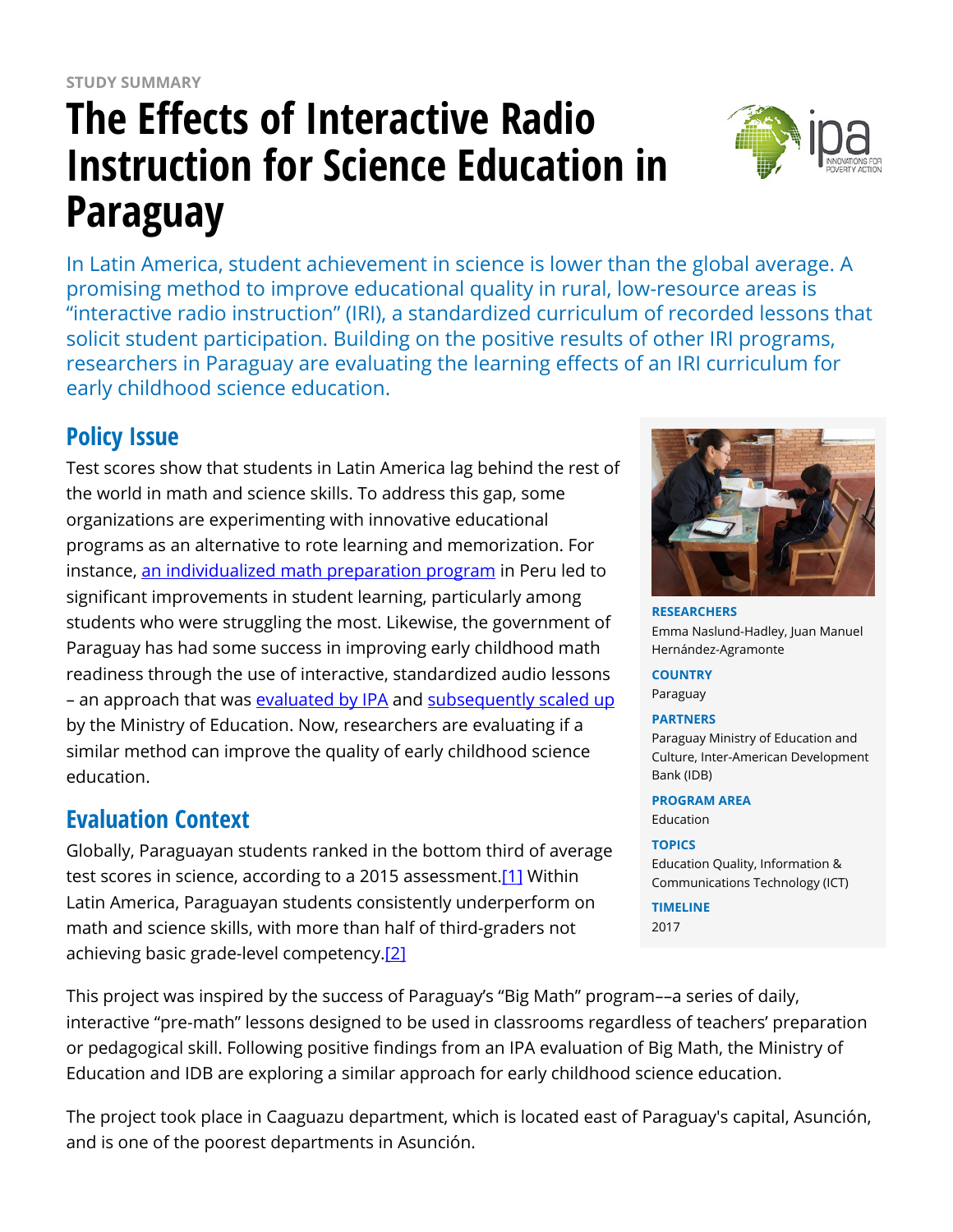# **The Effects of Interactive Radio Instruction for Science Education in Paraguay**



In Latin America, student achievement in science is lower than the global average. A promising method to improve educational quality in rural, low-resource areas is "interactive radio instruction" (IRI), a standardized curriculum of recorded lessons that solicit student participation. Building on the positive results of other IRI programs, researchers in Paraguay are evaluating the learning effects of an IRI curriculum for early childhood science education.

# **Policy Issue**

Test scores show that students in Latin America lag behind the rest of the world in math and science skills. To address this gap, some organizations are experimenting with innovative educational programs as an alternative to rote learning and memorization. For instance, [an individualized math preparation program](https://www.poverty-action.org/publication/tailoring-instruction-improve-mathematics-skills-preschools-randomized-evaluation%EF%80%AA) in Peru led to significant improvements in student learning, particularly among students who were struggling the most. Likewise, the government of Paraguay has had some success in improving early childhood math readiness through the use of interactive, standardized audio lessons – an approach that was [evaluated by IPA](https://www.poverty-action.org/study/math-my-school-improving-basic-math-skills-paraguay) and [subsequently scaled up](https://www.poverty-action.org/impact/big-math-improving-basic-math-skills-paraguay) by the Ministry of Education. Now, researchers are evaluating if a similar method can improve the quality of early childhood science education.

# **Evaluation Context**

Globally, Paraguayan students ranked in the bottom third of average test scores in science, according to a 2015 assessment.[\[1\]](https://www.poverty-action.org/printpdf/32466#_ftn1) Within Latin America, Paraguayan students consistently underperform on math and science skills, with more than half of third-graders not achieving basic grade-level competency[.\[2\]](https://www.poverty-action.org/printpdf/32466#_ftn2) 

**RESEARCHERS** Emma Naslund-Hadley, Juan Manuel Hernández-Agramonte

**COUNTRY** Paraguay

#### **PARTNERS**

Paraguay Ministry of Education and Culture, Inter-American Development Bank (IDB)

**PROGRAM AREA**

Education

#### **TOPICS**

Education Quality, Information & Communications Technology (ICT)

**TIMELINE** 2017

This project was inspired by the success of Paraguay's "Big Math" program––a series of daily, interactive "pre-math" lessons designed to be used in classrooms regardless of teachers' preparation or pedagogical skill. Following positive findings from an IPA evaluation of Big Math, the Ministry of Education and IDB are exploring a similar approach for early childhood science education.

The project took place in Caaguazu department, which is located east of Paraguay's capital, Asunción, and is one of the poorest departments in Asunción.